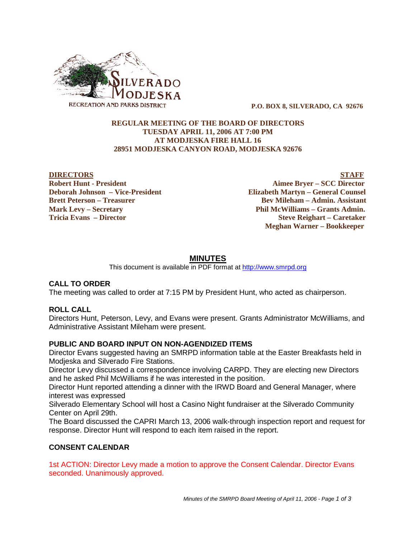

 **P.O. BOX 8, SILVERADO, CA 92676**

#### **REGULAR MEETING OF THE BOARD OF DIRECTORS TUESDAY APRIL 11, 2006 AT 7:00 PM AT MODJESKA FIRE HALL 16 28951 MODJESKA CANYON ROAD, MODJESKA 92676**

**DIRECTORS** STAFF **Robert Hunt - President Aimee Bryer – SCC Director Deborah Johnson – Vice-President Elizabeth Martyn – General Counsel Brett Peterson – Treasurer States and Bev Mileham – Admin. Assistant Mark Levy – Secretary Phil McWilliams – Grants Admin. Tricia Evans – Director Steve Reighart – Caretaker Meghan Warner – Bookkeeper**

# **MINUTES**

This document is available in PDF format at http://www.smrpd.org

## **CALL TO ORDER**

The meeting was called to order at 7:15 PM by President Hunt, who acted as chairperson.

## **ROLL CALL**

Directors Hunt, Peterson, Levy, and Evans were present. Grants Administrator McWilliams, and Administrative Assistant Mileham were present.

#### **PUBLIC AND BOARD INPUT ON NON-AGENDIZED ITEMS**

Director Evans suggested having an SMRPD information table at the Easter Breakfasts held in Modjeska and Silverado Fire Stations.

Director Levy discussed a correspondence involving CARPD. They are electing new Directors and he asked Phil McWilliams if he was interested in the position.

Director Hunt reported attending a dinner with the IRWD Board and General Manager, where interest was expressed

Silverado Elementary School will host a Casino Night fundraiser at the Silverado Community Center on April 29th.

The Board discussed the CAPRI March 13, 2006 walk-through inspection report and request for response. Director Hunt will respond to each item raised in the report.

## **CONSENT CALENDAR**

1st ACTION: Director Levy made a motion to approve the Consent Calendar. Director Evans seconded. Unanimously approved.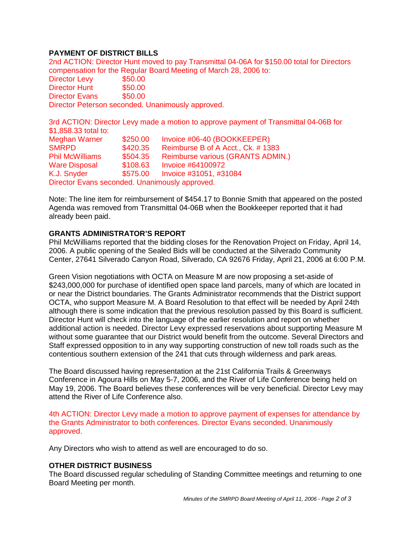# **PAYMENT OF DISTRICT BILLS**

2nd ACTION: Director Hunt moved to pay Transmittal 04-06A for \$150.00 total for Directors compensation for the Regular Board Meeting of March 28, 2006 to: Director Levy \$50.00 Director Hunt \$50.00 Director Evans \$50.00 Director Peterson seconded. Unanimously approved.

3rd ACTION: Director Levy made a motion to approve payment of Transmittal 04-06B for \$1,858.33 total to: Meghan Warner \$250.00 Invoice #06-40 (BOOKKEEPER) SMRPD \$420.35 Reimburse B of A Acct., Ck. # 1383 Phil McWilliams \$504.35 Reimburse various (GRANTS ADMIN.) Ware Disposal \$108.63 Invoice #64100972 K.J. Snyder \$575.00 Invoice #31051, #31084

Director Evans seconded. Unanimously approved.

Note: The line item for reimbursement of \$454.17 to Bonnie Smith that appeared on the posted Agenda was removed from Transmittal 04-06B when the Bookkeeper reported that it had already been paid.

# **GRANTS ADMINISTRATOR'S REPORT**

Phil McWilliams reported that the bidding closes for the Renovation Project on Friday, April 14, 2006. A public opening of the Sealed Bids will be conducted at the Silverado Community Center, 27641 Silverado Canyon Road, Silverado, CA 92676 Friday, April 21, 2006 at 6:00 P.M.

Green Vision negotiations with OCTA on Measure M are now proposing a set-aside of \$243,000,000 for purchase of identified open space land parcels, many of which are located in or near the District boundaries. The Grants Administrator recommends that the District support OCTA, who support Measure M. A Board Resolution to that effect will be needed by April 24th although there is some indication that the previous resolution passed by this Board is sufficient. Director Hunt will check into the language of the earlier resolution and report on whether additional action is needed. Director Levy expressed reservations about supporting Measure M without some guarantee that our District would benefit from the outcome. Several Directors and Staff expressed opposition to in any way supporting construction of new toll roads such as the contentious southern extension of the 241 that cuts through wilderness and park areas.

The Board discussed having representation at the 21st California Trails & Greenways Conference in Agoura Hills on May 5-7, 2006, and the River of Life Conference being held on May 19, 2006. The Board believes these conferences will be very beneficial. Director Levy may attend the River of Life Conference also.

4th ACTION: Director Levy made a motion to approve payment of expenses for attendance by the Grants Administrator to both conferences. Director Evans seconded. Unanimously approved.

Any Directors who wish to attend as well are encouraged to do so.

## **OTHER DISTRICT BUSINESS**

The Board discussed regular scheduling of Standing Committee meetings and returning to one Board Meeting per month.